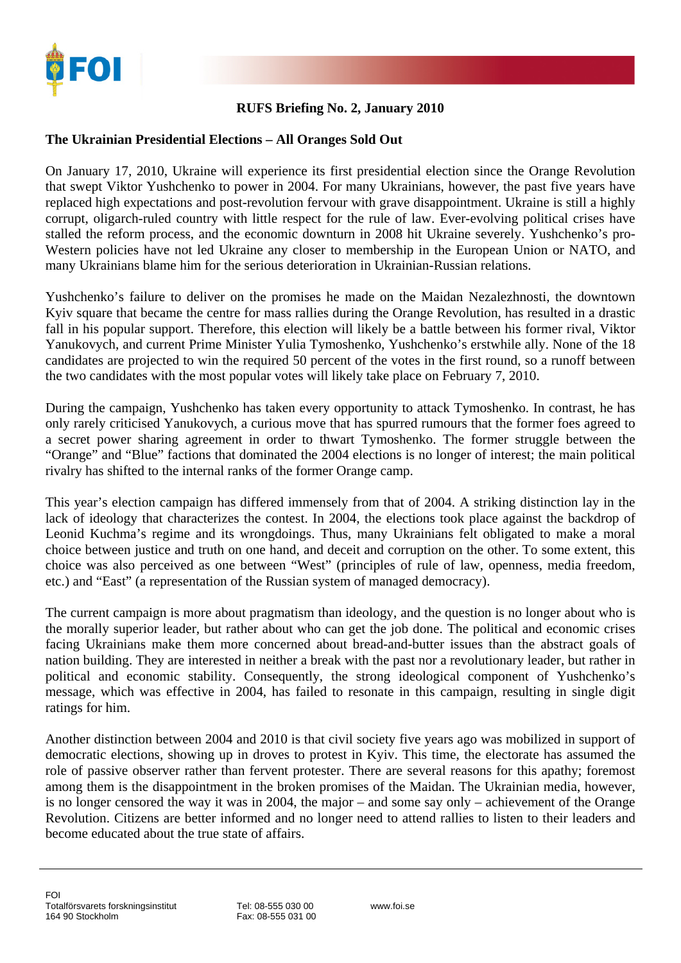

## **RUFS Briefing No. 2, January 2010**

## **The Ukrainian Presidential Elections – All Oranges Sold Out**

On January 17, 2010, Ukraine will experience its first presidential election since the Orange Revolution that swept Viktor Yushchenko to power in 2004. For many Ukrainians, however, the past five years have replaced high expectations and post-revolution fervour with grave disappointment. Ukraine is still a highly corrupt, oligarch-ruled country with little respect for the rule of law. Ever-evolving political crises have stalled the reform process, and the economic downturn in 2008 hit Ukraine severely. Yushchenko's pro-Western policies have not led Ukraine any closer to membership in the European Union or NATO, and many Ukrainians blame him for the serious deterioration in Ukrainian-Russian relations.

Yushchenko's failure to deliver on the promises he made on the Maidan Nezalezhnosti, the downtown Kyiv square that became the centre for mass rallies during the Orange Revolution, has resulted in a drastic fall in his popular support. Therefore, this election will likely be a battle between his former rival, Viktor Yanukovych, and current Prime Minister Yulia Tymoshenko, Yushchenko's erstwhile ally. None of the 18 candidates are projected to win the required 50 percent of the votes in the first round, so a runoff between the two candidates with the most popular votes will likely take place on February 7, 2010.

During the campaign, Yushchenko has taken every opportunity to attack Tymoshenko. In contrast, he has only rarely criticised Yanukovych, a curious move that has spurred rumours that the former foes agreed to a secret power sharing agreement in order to thwart Tymoshenko. The former struggle between the "Orange" and "Blue" factions that dominated the 2004 elections is no longer of interest; the main political rivalry has shifted to the internal ranks of the former Orange camp.

This year's election campaign has differed immensely from that of 2004. A striking distinction lay in the lack of ideology that characterizes the contest. In 2004, the elections took place against the backdrop of Leonid Kuchma's regime and its wrongdoings. Thus, many Ukrainians felt obligated to make a moral choice between justice and truth on one hand, and deceit and corruption on the other. To some extent, this choice was also perceived as one between "West" (principles of rule of law, openness, media freedom, etc.) and "East" (a representation of the Russian system of managed democracy).

The current campaign is more about pragmatism than ideology, and the question is no longer about who is the morally superior leader, but rather about who can get the job done. The political and economic crises facing Ukrainians make them more concerned about bread-and-butter issues than the abstract goals of nation building. They are interested in neither a break with the past nor a revolutionary leader, but rather in political and economic stability. Consequently, the strong ideological component of Yushchenko's message, which was effective in 2004, has failed to resonate in this campaign, resulting in single digit ratings for him.

Another distinction between 2004 and 2010 is that civil society five years ago was mobilized in support of democratic elections, showing up in droves to protest in Kyiv. This time, the electorate has assumed the role of passive observer rather than fervent protester. There are several reasons for this apathy; foremost among them is the disappointment in the broken promises of the Maidan. The Ukrainian media, however, is no longer censored the way it was in 2004, the major – and some say only – achievement of the Orange Revolution. Citizens are better informed and no longer need to attend rallies to listen to their leaders and become educated about the true state of affairs.